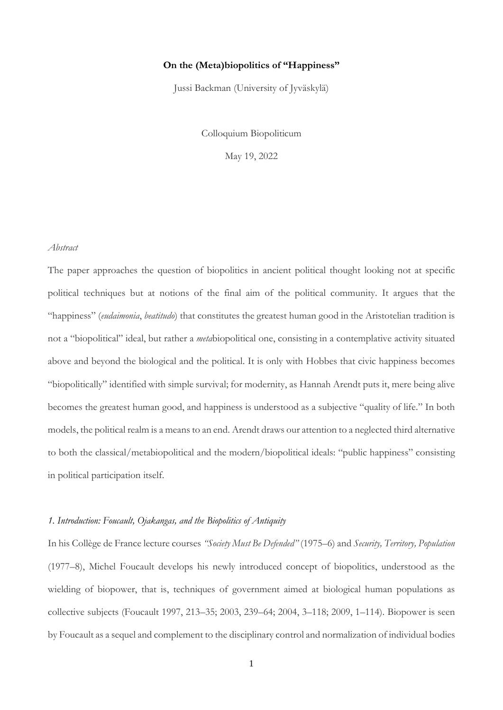## **On the (Meta)biopolitics of "Happiness"**

Jussi Backman (University of Jyväskylä)

Colloquium Biopoliticum

May 19, 2022

#### *Abstract*

The paper approaches the question of biopolitics in ancient political thought looking not at specific political techniques but at notions of the final aim of the political community. It argues that the "happiness" (*eudaimonia*, *beatitudo*) that constitutes the greatest human good in the Aristotelian tradition is not a "biopolitical" ideal, but rather a *meta*biopolitical one, consisting in a contemplative activity situated above and beyond the biological and the political. It is only with Hobbes that civic happiness becomes "biopolitically" identified with simple survival; for modernity, as Hannah Arendt puts it, mere being alive becomes the greatest human good, and happiness is understood as a subjective "quality of life." In both models, the political realm is a means to an end. Arendt draws our attention to a neglected third alternative to both the classical/metabiopolitical and the modern/biopolitical ideals: "public happiness" consisting in political participation itself.

# *1. Introduction: Foucault, Ojakangas, and the Biopolitics of Antiquity*

In his Collège de France lecture courses *"Society Must Be Defended"* (1975–6) and *Security, Territory, Population* (1977–8), Michel Foucault develops his newly introduced concept of biopolitics, understood as the wielding of biopower, that is, techniques of government aimed at biological human populations as collective subjects (Foucault 1997, 213–35; 2003, 239–64; 2004, 3–118; 2009, 1–114). Biopower is seen by Foucault as a sequel and complement to the disciplinary control and normalization of individual bodies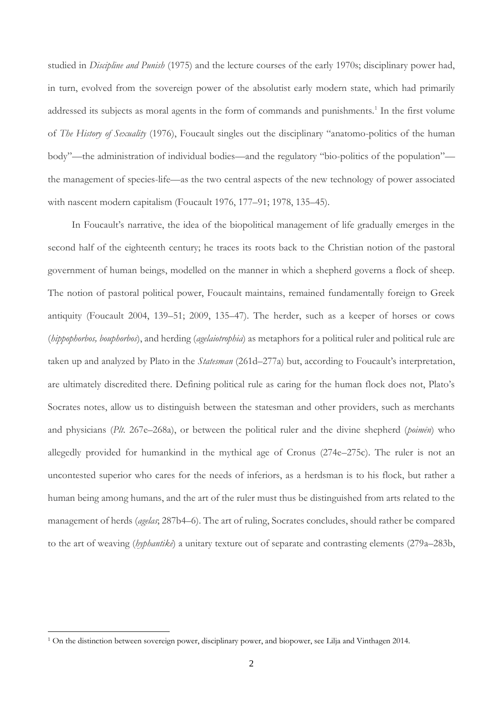studied in *Discipline and Punish* (1975) and the lecture courses of the early 1970s; disciplinary power had, in turn, evolved from the sovereign power of the absolutist early modern state, which had primarily addressed its subjects as moral agents in the form of commands and punishments.<sup>1</sup> In the first volume of *The History of Sexuality* (1976), Foucault singles out the disciplinary "anatomo-politics of the human body"—the administration of individual bodies—and the regulatory "bio-politics of the population" the management of species-life—as the two central aspects of the new technology of power associated with nascent modern capitalism (Foucault 1976, 177–91; 1978, 135–45).

In Foucault's narrative, the idea of the biopolitical management of life gradually emerges in the second half of the eighteenth century; he traces its roots back to the Christian notion of the pastoral government of human beings, modelled on the manner in which a shepherd governs a flock of sheep. The notion of pastoral political power, Foucault maintains, remained fundamentally foreign to Greek antiquity (Foucault 2004, 139–51; 2009, 135–47). The herder, such as a keeper of horses or cows (*hippophorbos, bouphorbos*), and herding (*agelaiotrophia*) as metaphors for a political ruler and political rule are taken up and analyzed by Plato in the *Statesman* (261d–277a) but, according to Foucault's interpretation, are ultimately discredited there. Defining political rule as caring for the human flock does not, Plato's Socrates notes, allow us to distinguish between the statesman and other providers, such as merchants and physicians (*Plt.* 267e–268a), or between the political ruler and the divine shepherd (*poimēn*) who allegedly provided for humankind in the mythical age of Cronus (274e–275c). The ruler is not an uncontested superior who cares for the needs of inferiors, as a herdsman is to his flock, but rather a human being among humans, and the art of the ruler must thus be distinguished from arts related to the management of herds (*agelas*; 287b4–6). The art of ruling, Socrates concludes, should rather be compared to the art of weaving (*hyphantikē*) a unitary texture out of separate and contrasting elements (279a–283b,

<sup>1</sup> On the distinction between sovereign power, disciplinary power, and biopower, see Lilja and Vinthagen 2014.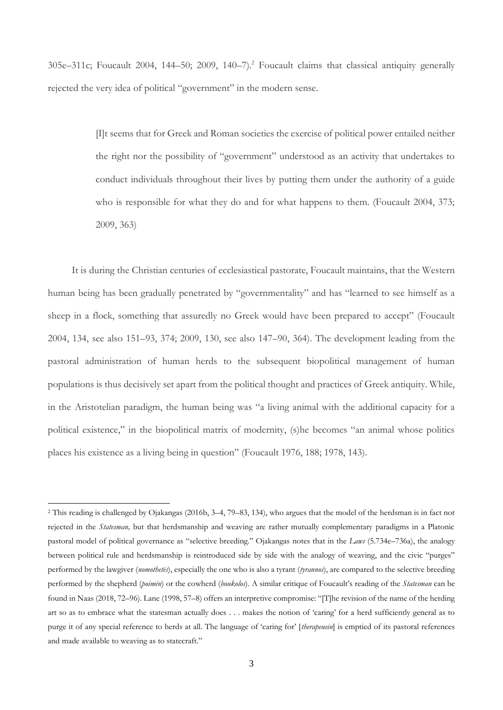305e–311c; Foucault 2004, 144–50; 2009, 140–7)*.* <sup>2</sup> Foucault claims that classical antiquity generally rejected the very idea of political "government" in the modern sense.

> [I]t seems that for Greek and Roman societies the exercise of political power entailed neither the right nor the possibility of "government" understood as an activity that undertakes to conduct individuals throughout their lives by putting them under the authority of a guide who is responsible for what they do and for what happens to them. (Foucault 2004, 373; 2009, 363)

It is during the Christian centuries of ecclesiastical pastorate, Foucault maintains, that the Western human being has been gradually penetrated by "governmentality" and has "learned to see himself as a sheep in a flock, something that assuredly no Greek would have been prepared to accept" (Foucault 2004, 134, see also 151–93, 374; 2009, 130, see also 147–90, 364). The development leading from the pastoral administration of human herds to the subsequent biopolitical management of human populations is thus decisively set apart from the political thought and practices of Greek antiquity. While, in the Aristotelian paradigm, the human being was "a living animal with the additional capacity for a political existence," in the biopolitical matrix of modernity, (s)he becomes "an animal whose politics places his existence as a living being in question" (Foucault 1976, 188; 1978, 143).

<sup>2</sup> This reading is challenged by Ojakangas (2016b, 3–4, 79–83, 134), who argues that the model of the herdsman is in fact not rejected in the *Statesman,* but that herdsmanship and weaving are rather mutually complementary paradigms in a Platonic pastoral model of political governance as "selective breeding." Ojakangas notes that in the *Laws* (5.734e–736a), the analogy between political rule and herdsmanship is reintroduced side by side with the analogy of weaving, and the civic "purges" performed by the lawgiver (*nomothetēs*), especially the one who is also a tyrant (*tyrannos*), are compared to the selective breeding performed by the shepherd (*poimēn*) or the cowherd (*boukolos*). A similar critique of Foucault's reading of the *Statesman* can be found in Naas (2018, 72–96). Lane (1998, 57–8) offers an interpretive compromise: "[T]he revision of the name of the herding art so as to embrace what the statesman actually does . . . makes the notion of 'caring' for a herd sufficiently general as to purge it of any special reference to herds at all. The language of 'caring for' [*therapeuein*] is emptied of its pastoral references and made available to weaving as to statecraft."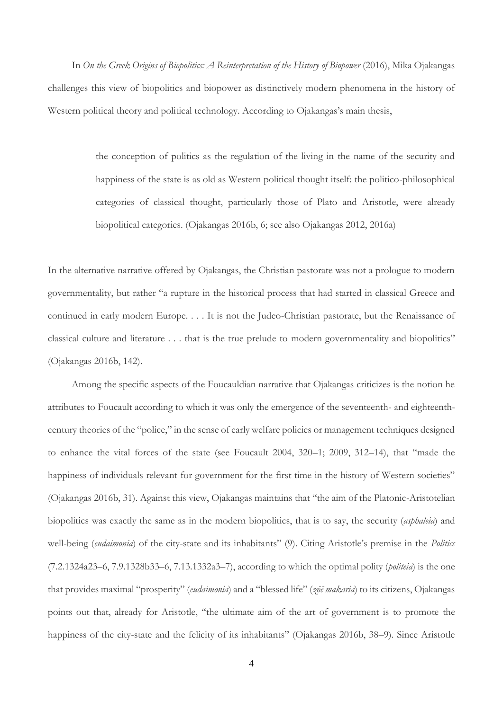In *On the Greek Origins of Biopolitics: A Reinterpretation of the History of Biopower* (2016), Mika Ojakangas challenges this view of biopolitics and biopower as distinctively modern phenomena in the history of Western political theory and political technology. According to Ojakangas's main thesis,

> the conception of politics as the regulation of the living in the name of the security and happiness of the state is as old as Western political thought itself: the politico-philosophical categories of classical thought, particularly those of Plato and Aristotle, were already biopolitical categories. (Ojakangas 2016b, 6; see also Ojakangas 2012, 2016a)

In the alternative narrative offered by Ojakangas, the Christian pastorate was not a prologue to modern governmentality, but rather "a rupture in the historical process that had started in classical Greece and continued in early modern Europe. . . . It is not the Judeo-Christian pastorate, but the Renaissance of classical culture and literature . . . that is the true prelude to modern governmentality and biopolitics" (Ojakangas 2016b, 142).

Among the specific aspects of the Foucauldian narrative that Ojakangas criticizes is the notion he attributes to Foucault according to which it was only the emergence of the seventeenth- and eighteenthcentury theories of the "police," in the sense of early welfare policies or management techniques designed to enhance the vital forces of the state (see Foucault 2004, 320–1; 2009, 312–14), that "made the happiness of individuals relevant for government for the first time in the history of Western societies" (Ojakangas 2016b, 31). Against this view, Ojakangas maintains that "the aim of the Platonic-Aristotelian biopolitics was exactly the same as in the modern biopolitics, that is to say, the security (*asphaleia*) and well-being (*eudaimonia*) of the city-state and its inhabitants" (9). Citing Aristotle's premise in the *Politics*  (7.2.1324a23–6, 7.9.1328b33–6, 7.13.1332a3–7), according to which the optimal polity (*politeia*) is the one that provides maximal "prosperity" (*eudaimonia*) and a "blessed life" (*zōē makaria*) to its citizens, Ojakangas points out that, already for Aristotle, "the ultimate aim of the art of government is to promote the happiness of the city-state and the felicity of its inhabitants" (Ojakangas 2016b, 38–9). Since Aristotle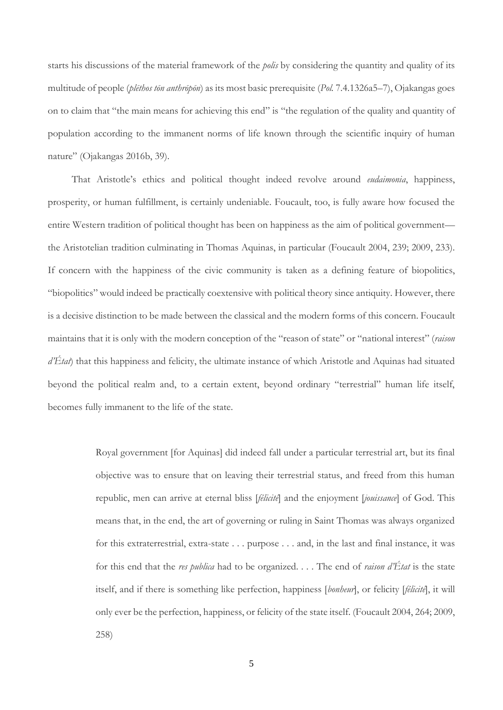starts his discussions of the material framework of the *polis* by considering the quantity and quality of its multitude of people (*plēthos tōn anthrōpōn*) as its most basic prerequisite (*Pol.* 7.4.1326a5–7), Ojakangas goes on to claim that "the main means for achieving this end" is "the regulation of the quality and quantity of population according to the immanent norms of life known through the scientific inquiry of human nature" (Ojakangas 2016b, 39).

That Aristotle's ethics and political thought indeed revolve around *eudaimonia*, happiness, prosperity, or human fulfillment, is certainly undeniable. Foucault, too, is fully aware how focused the entire Western tradition of political thought has been on happiness as the aim of political government the Aristotelian tradition culminating in Thomas Aquinas, in particular (Foucault 2004, 239; 2009, 233). If concern with the happiness of the civic community is taken as a defining feature of biopolitics, "biopolitics" would indeed be practically coextensive with political theory since antiquity. However, there is a decisive distinction to be made between the classical and the modern forms of this concern. Foucault maintains that it is only with the modern conception of the "reason of state" or "national interest" (*raison d'État*) that this happiness and felicity, the ultimate instance of which Aristotle and Aquinas had situated beyond the political realm and, to a certain extent, beyond ordinary "terrestrial" human life itself, becomes fully immanent to the life of the state.

> Royal government [for Aquinas] did indeed fall under a particular terrestrial art, but its final objective was to ensure that on leaving their terrestrial status, and freed from this human republic, men can arrive at eternal bliss [*félicité*] and the enjoyment [*jouissance*] of God. This means that, in the end, the art of governing or ruling in Saint Thomas was always organized for this extraterrestrial, extra-state . . . purpose . . . and, in the last and final instance, it was for this end that the *res publica* had to be organized. . . . The end of *raison d'État* is the state itself, and if there is something like perfection, happiness [*bonheur*], or felicity [*félicité*], it will only ever be the perfection, happiness, or felicity of the state itself. (Foucault 2004, 264; 2009, 258)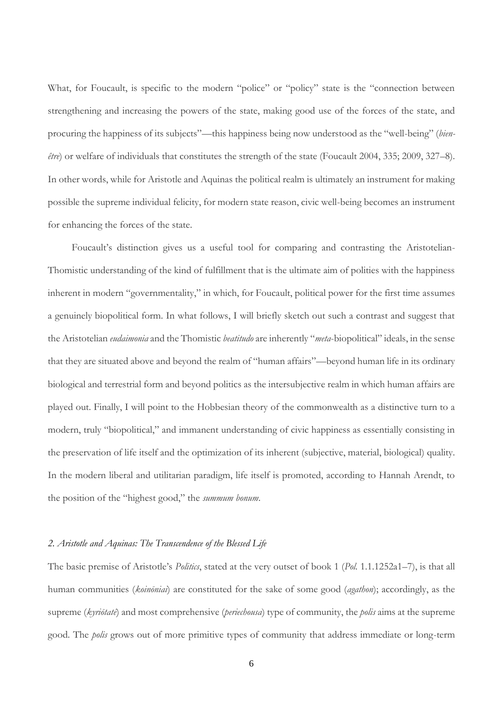What, for Foucault, is specific to the modern "police" or "policy" state is the "connection between strengthening and increasing the powers of the state, making good use of the forces of the state, and procuring the happiness of its subjects"—this happiness being now understood as the "well-being" (*bienêtre*) or welfare of individuals that constitutes the strength of the state (Foucault 2004, 335; 2009, 327–8). In other words, while for Aristotle and Aquinas the political realm is ultimately an instrument for making possible the supreme individual felicity, for modern state reason, civic well-being becomes an instrument for enhancing the forces of the state.

Foucault's distinction gives us a useful tool for comparing and contrasting the Aristotelian-Thomistic understanding of the kind of fulfillment that is the ultimate aim of polities with the happiness inherent in modern "governmentality," in which, for Foucault, political power for the first time assumes a genuinely biopolitical form. In what follows, I will briefly sketch out such a contrast and suggest that the Aristotelian *eudaimonia* and the Thomistic *beatitudo* are inherently "*meta*-biopolitical" ideals, in the sense that they are situated above and beyond the realm of "human affairs"—beyond human life in its ordinary biological and terrestrial form and beyond politics as the intersubjective realm in which human affairs are played out. Finally, I will point to the Hobbesian theory of the commonwealth as a distinctive turn to a modern, truly "biopolitical," and immanent understanding of civic happiness as essentially consisting in the preservation of life itself and the optimization of its inherent (subjective, material, biological) quality. In the modern liberal and utilitarian paradigm, life itself is promoted, according to Hannah Arendt, to the position of the "highest good," the *summum bonum*.

### *2. Aristotle and Aquinas: The Transcendence of the Blessed Life*

The basic premise of Aristotle's *Politics*, stated at the very outset of book 1 (*Pol.* 1.1.1252a1–7), is that all human communities (*koinōniai*) are constituted for the sake of some good (*agathon*); accordingly, as the supreme (*kyriōtatē*) and most comprehensive (*periechousa*) type of community, the *polis* aims at the supreme good. The *polis* grows out of more primitive types of community that address immediate or long-term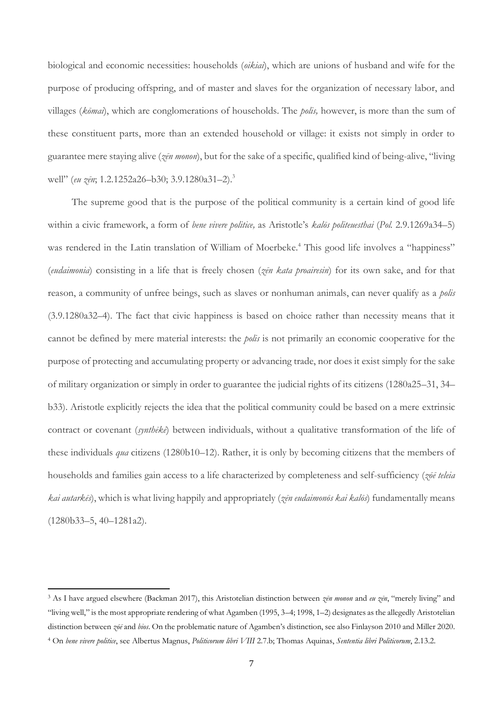biological and economic necessities: households (*oikiai*), which are unions of husband and wife for the purpose of producing offspring, and of master and slaves for the organization of necessary labor, and villages (*kōmai*), which are conglomerations of households. The *polis,* however, is more than the sum of these constituent parts, more than an extended household or village: it exists not simply in order to guarantee mere staying alive (*zēn monon*), but for the sake of a specific, qualified kind of being-alive, "living well" (*eu zēn*; 1.2.1252a26–b30; 3.9.1280a31–2).<sup>3</sup>

The supreme good that is the purpose of the political community is a certain kind of good life within a civic framework, a form of *bene vivere politice,* as Aristotle's *kalōs politeuesthai* (*Pol.* 2.9.1269a34–5) was rendered in the Latin translation of William of Moerbeke.<sup>4</sup> This good life involves a "happiness" (*eudaimonia*) consisting in a life that is freely chosen (*zēn kata proairesin*) for its own sake, and for that reason, a community of unfree beings, such as slaves or nonhuman animals, can never qualify as a *polis* (3.9.1280a32–4). The fact that civic happiness is based on choice rather than necessity means that it cannot be defined by mere material interests: the *polis* is not primarily an economic cooperative for the purpose of protecting and accumulating property or advancing trade, nor does it exist simply for the sake of military organization or simply in order to guarantee the judicial rights of its citizens (1280a25–31, 34– b33). Aristotle explicitly rejects the idea that the political community could be based on a mere extrinsic contract or covenant (*synthēkē*) between individuals, without a qualitative transformation of the life of these individuals *qua* citizens (1280b10–12). Rather, it is only by becoming citizens that the members of households and families gain access to a life characterized by completeness and self-sufficiency (*zōē teleia kai autarkēs*), which is what living happily and appropriately (*zēn eudaimonōs kai kalōs*) fundamentally means (1280b33–5, 40–1281a2).

<sup>3</sup> As I have argued elsewhere (Backman 2017), this Aristotelian distinction between *zēn monon* and *eu zēn*, "merely living" and "living well," is the most appropriate rendering of what Agamben (1995, 3–4; 1998, 1–2) designates as the allegedly Aristotelian distinction between *zōē* and *bios*. On the problematic nature of Agamben's distinction, see also Finlayson 2010 and Miller 2020.

<sup>4</sup> On *bene vivere politice*, see Albertus Magnus, *Politicorum libri VIII* 2.7.b; Thomas Aquinas, *Sententia libri Politicorum*, 2.13.2.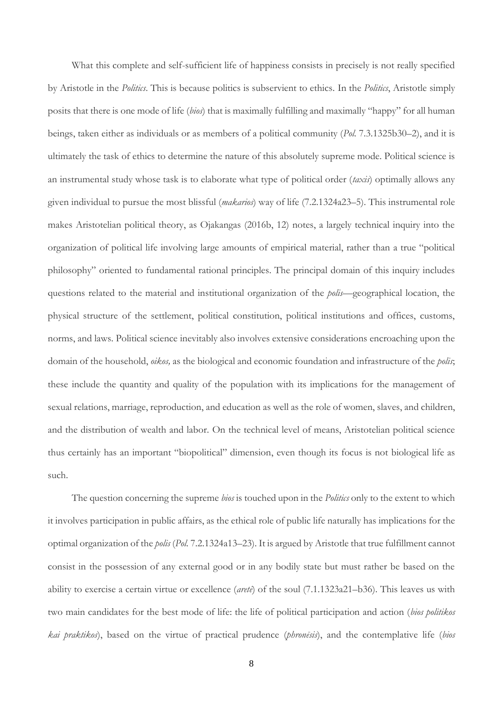What this complete and self-sufficient life of happiness consists in precisely is not really specified by Aristotle in the *Politics*. This is because politics is subservient to ethics. In the *Politics*, Aristotle simply posits that there is one mode of life (*bios*) that is maximally fulfilling and maximally "happy" for all human beings, taken either as individuals or as members of a political community (*Pol.* 7.3.1325b30–2), and it is ultimately the task of ethics to determine the nature of this absolutely supreme mode. Political science is an instrumental study whose task is to elaborate what type of political order (*taxis*) optimally allows any given individual to pursue the most blissful (*makarios*) way of life (7.2.1324a23–5). This instrumental role makes Aristotelian political theory, as Ojakangas (2016b, 12) notes, a largely technical inquiry into the organization of political life involving large amounts of empirical material, rather than a true "political philosophy" oriented to fundamental rational principles. The principal domain of this inquiry includes questions related to the material and institutional organization of the *polis*—geographical location, the physical structure of the settlement, political constitution, political institutions and offices, customs, norms, and laws. Political science inevitably also involves extensive considerations encroaching upon the domain of the household, *oikos,* as the biological and economic foundation and infrastructure of the *polis*; these include the quantity and quality of the population with its implications for the management of sexual relations, marriage, reproduction, and education as well as the role of women, slaves, and children, and the distribution of wealth and labor. On the technical level of means, Aristotelian political science thus certainly has an important "biopolitical" dimension, even though its focus is not biological life as such.

The question concerning the supreme *bios* is touched upon in the *Politics* only to the extent to which it involves participation in public affairs, as the ethical role of public life naturally has implications for the optimal organization of the *polis* (*Pol.* 7.2.1324a13–23). It is argued by Aristotle that true fulfillment cannot consist in the possession of any external good or in any bodily state but must rather be based on the ability to exercise a certain virtue or excellence (*aretē*) of the soul (7.1.1323a21–b36). This leaves us with two main candidates for the best mode of life: the life of political participation and action (*bios politikos kai praktikos*), based on the virtue of practical prudence (*phronēsis*), and the contemplative life (*bios*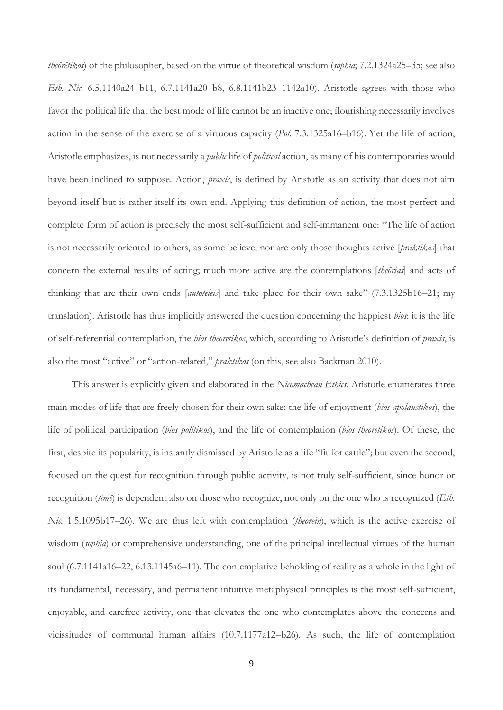*theōrētikos*) of the philosopher, based on the virtue of theoretical wisdom (*sophia*; 7.2.1324a25–35; see also *Eth. Nic.* 6.5.1140a24–b11, 6.7.1141a20–b8, 6.8.1141b23–1142a10). Aristotle agrees with those who favor the political life that the best mode of life cannot be an inactive one; flourishing necessarily involves action in the sense of the exercise of a virtuous capacity (*Pol.* 7.3.1325a16–b16). Yet the life of action, Aristotle emphasizes, is not necessarily a *public* life of *political* action, as many of his contemporaries would have been inclined to suppose. Action, *praxis*, is defined by Aristotle as an activity that does not aim beyond itself but is rather itself its own end. Applying this definition of action, the most perfect and complete form of action is precisely the most self-sufficient and self-immanent one: "The life of action is not necessarily oriented to others, as some believe, nor are only those thoughts active [*praktikas*] that concern the external results of acting; much more active are the contemplations [*theōrias*] and acts of thinking that are their own ends [*autoteleis*] and take place for their own sake" (7.3.1325b16–21; my translation). Aristotle has thus implicitly answered the question concerning the happiest *bios*: it is the life of self-referential contemplation, the *bios theōrētikos*, which, according to Aristotle's definition of *praxis*, is also the most "active" or "action-related," *praktikos* (on this, see also Backman 2010).

This answer is explicitly given and elaborated in the *Nicomachean Ethics*. Aristotle enumerates three main modes of life that are freely chosen for their own sake: the life of enjoyment (*bios apolaustikos*), the life of political participation (*bios politikos*), and the life of contemplation (*bios theōrētikos*). Of these, the first, despite its popularity, is instantly dismissed by Aristotle as a life "fit for cattle"; but even the second, focused on the quest for recognition through public activity, is not truly self-sufficient, since honor or recognition (*timē*) is dependent also on those who recognize, not only on the one who is recognized (*Eth. Nic.* 1.5.1095b17–26). We are thus left with contemplation (*theōrein*), which is the active exercise of wisdom (*sophia*) or comprehensive understanding, one of the principal intellectual virtues of the human soul (6.7.1141a16–22, 6.13.1145a6–11). The contemplative beholding of reality as a whole in the light of its fundamental, necessary, and permanent intuitive metaphysical principles is the most self-sufficient, enjoyable, and carefree activity, one that elevates the one who contemplates above the concerns and vicissitudes of communal human affairs (10.7.1177a12–b26). As such, the life of contemplation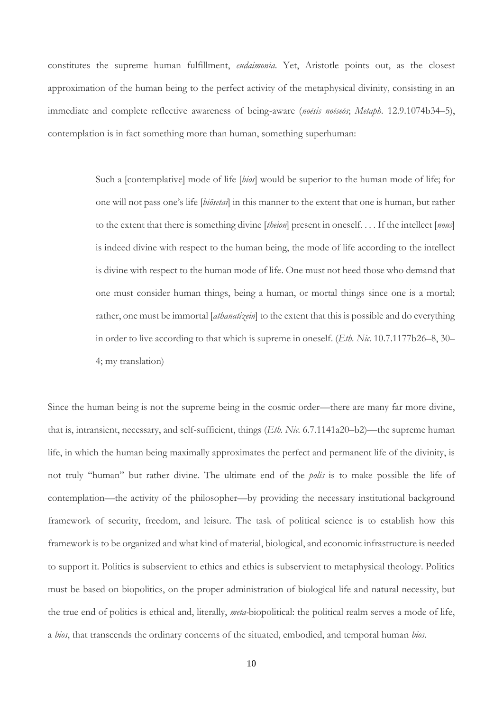constitutes the supreme human fulfillment, *eudaimonia*. Yet, Aristotle points out, as the closest approximation of the human being to the perfect activity of the metaphysical divinity, consisting in an immediate and complete reflective awareness of being-aware (*noēsis noēseōs*; *Metaph.* 12.9.1074b34–5), contemplation is in fact something more than human, something superhuman:

> Such a [contemplative] mode of life [*bios*] would be superior to the human mode of life; for one will not pass one's life [*biōsetai*] in this manner to the extent that one is human, but rather to the extent that there is something divine [*theion*] present in oneself. . . . If the intellect [*nous*] is indeed divine with respect to the human being, the mode of life according to the intellect is divine with respect to the human mode of life. One must not heed those who demand that one must consider human things, being a human, or mortal things since one is a mortal; rather, one must be immortal [*athanatizein*] to the extent that this is possible and do everything in order to live according to that which is supreme in oneself. (*Eth. Nic.* 10.7.1177b26–8, 30– 4; my translation)

Since the human being is not the supreme being in the cosmic order—there are many far more divine, that is, intransient, necessary, and self-sufficient, things (*Eth. Nic.* 6.7.1141a20–b2)—the supreme human life, in which the human being maximally approximates the perfect and permanent life of the divinity, is not truly "human" but rather divine. The ultimate end of the *polis* is to make possible the life of contemplation—the activity of the philosopher—by providing the necessary institutional background framework of security, freedom, and leisure. The task of political science is to establish how this framework is to be organized and what kind of material, biological, and economic infrastructure is needed to support it. Politics is subservient to ethics and ethics is subservient to metaphysical theology. Politics must be based on biopolitics, on the proper administration of biological life and natural necessity, but the true end of politics is ethical and, literally, *meta-*biopolitical: the political realm serves a mode of life, a *bios*, that transcends the ordinary concerns of the situated, embodied, and temporal human *bios*.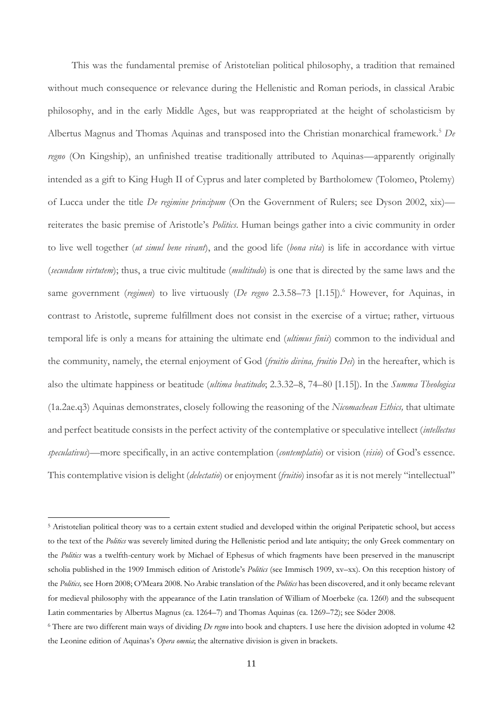This was the fundamental premise of Aristotelian political philosophy, a tradition that remained without much consequence or relevance during the Hellenistic and Roman periods, in classical Arabic philosophy, and in the early Middle Ages, but was reappropriated at the height of scholasticism by Albertus Magnus and Thomas Aquinas and transposed into the Christian monarchical framework.<sup>5</sup> *De regno* (On Kingship), an unfinished treatise traditionally attributed to Aquinas—apparently originally intended as a gift to King Hugh II of Cyprus and later completed by Bartholomew (Tolomeo, Ptolemy) of Lucca under the title *De regimine principum* (On the Government of Rulers; see Dyson 2002, xix) reiterates the basic premise of Aristotle's *Politics*. Human beings gather into a civic community in order to live well together (*ut simul bene vivant*), and the good life (*bona vita*) is life in accordance with virtue (*secundum virtutem*); thus, a true civic multitude (*multitudo*) is one that is directed by the same laws and the same government *(regimen)* to live virtuously *(De regno* 2.3.58–73 [1.15]).<sup>6</sup> However, for Aquinas, in contrast to Aristotle, supreme fulfillment does not consist in the exercise of a virtue; rather, virtuous temporal life is only a means for attaining the ultimate end (*ultimus finis*) common to the individual and the community, namely, the eternal enjoyment of God (*fruitio divina, fruitio Dei*) in the hereafter, which is also the ultimate happiness or beatitude (*ultima beatitudo*; 2.3.32–8, 74–80 [1.15]). In the *Summa Theologica*  (1a.2ae.q3) Aquinas demonstrates, closely following the reasoning of the *Nicomachean Ethics,* that ultimate and perfect beatitude consists in the perfect activity of the contemplative or speculative intellect (*intellectus speculativus*)—more specifically, in an active contemplation (*contemplatio*) or vision (*visio*) of God's essence. This contemplative vision is delight (*delectatio*) or enjoyment (*fruitio*) insofar as it is not merely "intellectual"

<sup>5</sup> Aristotelian political theory was to a certain extent studied and developed within the original Peripatetic school, but access to the text of the *Politics* was severely limited during the Hellenistic period and late antiquity; the only Greek commentary on the *Politics* was a twelfth-century work by Michael of Ephesus of which fragments have been preserved in the manuscript scholia published in the 1909 Immisch edition of Aristotle's *Politics* (see Immisch 1909, xv–xx). On this reception history of the *Politics,* see Horn 2008; O'Meara 2008. No Arabic translation of the *Politics* has been discovered, and it only became relevant for medieval philosophy with the appearance of the Latin translation of William of Moerbeke (ca. 1260) and the subsequent Latin commentaries by Albertus Magnus (ca. 1264–7) and Thomas Aquinas (ca. 1269–72); see Söder 2008.

<sup>6</sup> There are two different main ways of dividing *De regno* into book and chapters. I use here the division adopted in volume 42 the Leonine edition of Aquinas's *Opera omnia*; the alternative division is given in brackets.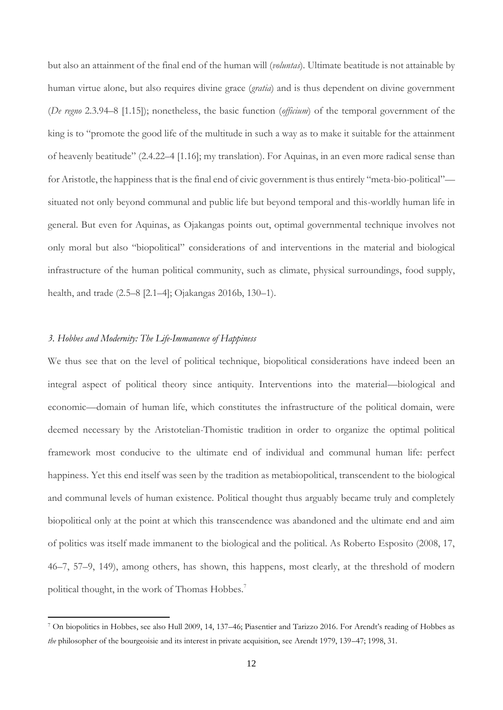but also an attainment of the final end of the human will (*voluntas*). Ultimate beatitude is not attainable by human virtue alone, but also requires divine grace (*gratia*) and is thus dependent on divine government (*De regno* 2.3.94–8 [1.15]); nonetheless, the basic function (*officium*) of the temporal government of the king is to "promote the good life of the multitude in such a way as to make it suitable for the attainment of heavenly beatitude" (2.4.22–4 [1.16]; my translation). For Aquinas, in an even more radical sense than for Aristotle, the happiness that is the final end of civic government is thus entirely "meta-bio-political" situated not only beyond communal and public life but beyond temporal and this-worldly human life in general. But even for Aquinas, as Ojakangas points out, optimal governmental technique involves not only moral but also "biopolitical" considerations of and interventions in the material and biological infrastructure of the human political community, such as climate, physical surroundings, food supply, health, and trade (2.5–8 [2.1–4]; Ojakangas 2016b, 130–1).

# *3. Hobbes and Modernity: The Life-Immanence of Happiness*

We thus see that on the level of political technique, biopolitical considerations have indeed been an integral aspect of political theory since antiquity. Interventions into the material—biological and economic—domain of human life, which constitutes the infrastructure of the political domain, were deemed necessary by the Aristotelian-Thomistic tradition in order to organize the optimal political framework most conducive to the ultimate end of individual and communal human life: perfect happiness. Yet this end itself was seen by the tradition as metabiopolitical, transcendent to the biological and communal levels of human existence. Political thought thus arguably became truly and completely biopolitical only at the point at which this transcendence was abandoned and the ultimate end and aim of politics was itself made immanent to the biological and the political. As Roberto Esposito (2008, 17, 46–7, 57–9, 149), among others, has shown, this happens, most clearly, at the threshold of modern political thought, in the work of Thomas Hobbes.<sup>7</sup>

<sup>7</sup> On biopolitics in Hobbes, see also Hull 2009, 14, 137–46; Piasentier and Tarizzo 2016. For Arendt's reading of Hobbes as *the* philosopher of the bourgeoisie and its interest in private acquisition, see Arendt 1979, 139–47; 1998, 31.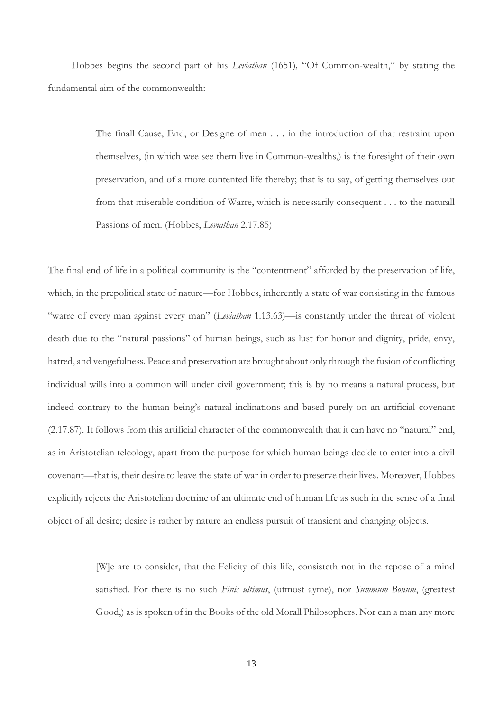Hobbes begins the second part of his *Leviathan* (1651)*,* "Of Common-wealth," by stating the fundamental aim of the commonwealth:

> The finall Cause, End, or Designe of men . . . in the introduction of that restraint upon themselves, (in which wee see them live in Common-wealths,) is the foresight of their own preservation, and of a more contented life thereby; that is to say, of getting themselves out from that miserable condition of Warre, which is necessarily consequent . . . to the naturall Passions of men. (Hobbes, *Leviathan* 2.17.85)

The final end of life in a political community is the "contentment" afforded by the preservation of life, which, in the prepolitical state of nature—for Hobbes, inherently a state of war consisting in the famous "warre of every man against every man" (*Leviathan* 1.13.63)—is constantly under the threat of violent death due to the "natural passions" of human beings, such as lust for honor and dignity, pride, envy, hatred, and vengefulness. Peace and preservation are brought about only through the fusion of conflicting individual wills into a common will under civil government; this is by no means a natural process, but indeed contrary to the human being's natural inclinations and based purely on an artificial covenant (2.17.87). It follows from this artificial character of the commonwealth that it can have no "natural" end, as in Aristotelian teleology, apart from the purpose for which human beings decide to enter into a civil covenant—that is, their desire to leave the state of war in order to preserve their lives. Moreover, Hobbes explicitly rejects the Aristotelian doctrine of an ultimate end of human life as such in the sense of a final object of all desire; desire is rather by nature an endless pursuit of transient and changing objects.

> [W]e are to consider, that the Felicity of this life, consisteth not in the repose of a mind satisfied. For there is no such *Finis ultimus*, (utmost ayme), nor *Summum Bonum*, (greatest Good,) as is spoken of in the Books of the old Morall Philosophers. Nor can a man any more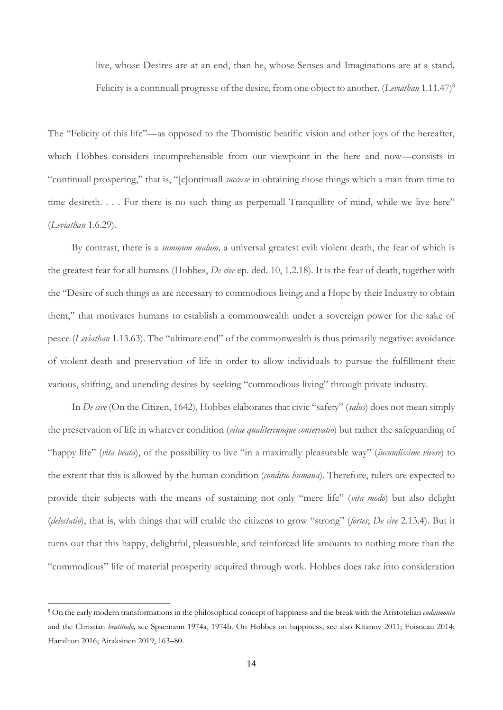live, whose Desires are at an end, than he, whose Senses and Imaginations are at a stand. Felicity is a continuall progresse of the desire, from one object to another. (*Leviathan* 1.11.47)<sup>8</sup>

The "Felicity of this life"—as opposed to the Thomistic beatific vision and other joys of the hereafter, which Hobbes considers incomprehensible from our viewpoint in the here and now—consists in "continuall prospering," that is, "[c]ontinuall *successe* in obtaining those things which a man from time to time desireth. . . . For there is no such thing as perpetuall Tranquillity of mind, while we live here" (*Leviathan* 1.6.29).

By contrast, there is a *summum malum,* a universal greatest evil: violent death, the fear of which is the greatest fear for all humans (Hobbes, *De cive* ep. ded. 10, 1.2.18). It is the fear of death, together with the "Desire of such things as are necessary to commodious living; and a Hope by their Industry to obtain them," that motivates humans to establish a commonwealth under a sovereign power for the sake of peace (*Leviathan* 1.13.63). The "ultimate end" of the commonwealth is thus primarily negative: avoidance of violent death and preservation of life in order to allow individuals to pursue the fulfillment their various, shifting, and unending desires by seeking "commodious living" through private industry.

In *De cive* (On the Citizen, 1642), Hobbes elaborates that civic "safety" (*salus*) does not mean simply the preservation of life in whatever condition (*vitae qualitercunque conservatio*) but rather the safeguarding of "happy life" (*vita beata*), of the possibility to live "in a maximally pleasurable way" (*iucundissime vivere*) to the extent that this is allowed by the human condition (*conditio humana*). Therefore, rulers are expected to provide their subjects with the means of sustaining not only "mere life" (*vita modo*) but also delight (*delectatio*), that is, with things that will enable the citizens to grow "strong" (*fortes*; *De cive* 2.13.4). But it turns out that this happy, delightful, pleasurable, and reinforced life amounts to nothing more than the "commodious" life of material prosperity acquired through work. Hobbes does take into consideration

<sup>8</sup> On the early modern transformations in the philosophical concept of happiness and the break with the Aristotelian *eudaimonia*  and the Christian *beatitudo,* see Spaemann 1974a, 1974b. On Hobbes on happiness, see also Kitanov 2011; Foisneau 2014; Hamilton 2016; Airaksinen 2019, 163–80.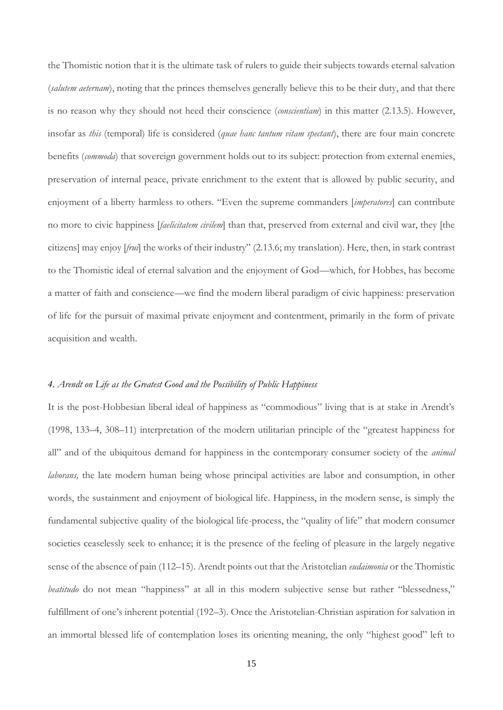the Thomistic notion that it is the ultimate task of rulers to guide their subjects towards eternal salvation (*salutem aeternam*), noting that the princes themselves generally believe this to be their duty, and that there is no reason why they should not heed their conscience (*conscientiam*) in this matter (2.13.5). However, insofar as *this* (temporal) life is considered (*quae hanc tantum vitam spectant*), there are four main concrete benefits (*commoda*) that sovereign government holds out to its subject: protection from external enemies, preservation of internal peace, private enrichment to the extent that is allowed by public security, and enjoyment of a liberty harmless to others. "Even the supreme commanders [*imperatores*] can contribute no more to civic happiness [*faelicitatem civilem*] than that, preserved from external and civil war, they [the citizens] may enjoy [*frui*] the works of their industry" (2.13.6; my translation). Here, then, in stark contrast to the Thomistic ideal of eternal salvation and the enjoyment of God—which, for Hobbes, has become a matter of faith and conscience—we find the modern liberal paradigm of civic happiness: preservation of life for the pursuit of maximal private enjoyment and contentment, primarily in the form of private acquisition and wealth.

### *4. Arendt on Life as the Greatest Good and the Possibility of Public Happiness*

It is the post-Hobbesian liberal ideal of happiness as "commodious" living that is at stake in Arendt's (1998, 133–4, 308–11) interpretation of the modern utilitarian principle of the "greatest happiness for all" and of the ubiquitous demand for happiness in the contemporary consumer society of the *animal laborans,* the late modern human being whose principal activities are labor and consumption, in other words, the sustainment and enjoyment of biological life*.* Happiness, in the modern sense, is simply the fundamental subjective quality of the biological life-process, the "quality of life" that modern consumer societies ceaselessly seek to enhance; it is the presence of the feeling of pleasure in the largely negative sense of the absence of pain (112–15). Arendt points out that the Aristotelian *eudaimonia* or the Thomistic *beatitudo* do not mean "happiness" at all in this modern subjective sense but rather "blessedness," fulfillment of one's inherent potential (192–3). Once the Aristotelian-Christian aspiration for salvation in an immortal blessed life of contemplation loses its orienting meaning, the only "highest good" left to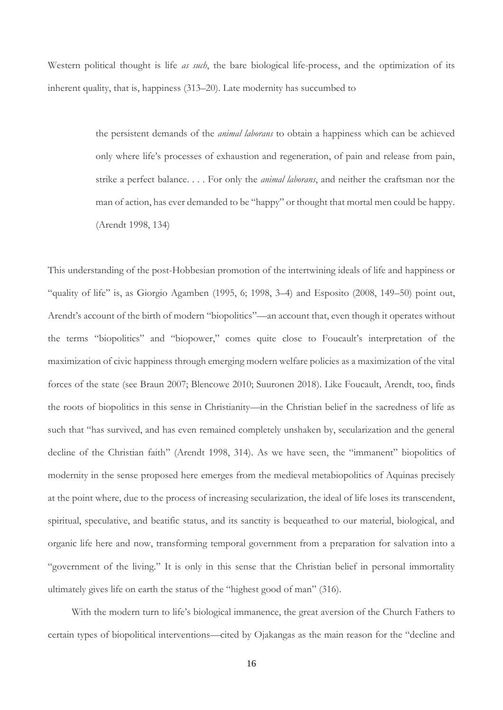Western political thought is life *as such*, the bare biological life-process, and the optimization of its inherent quality, that is, happiness (313–20). Late modernity has succumbed to

> the persistent demands of the *animal laborans* to obtain a happiness which can be achieved only where life's processes of exhaustion and regeneration, of pain and release from pain, strike a perfect balance. . . . For only the *animal laborans*, and neither the craftsman nor the man of action, has ever demanded to be "happy" or thought that mortal men could be happy. (Arendt 1998, 134)

This understanding of the post-Hobbesian promotion of the intertwining ideals of life and happiness or "quality of life" is, as Giorgio Agamben (1995, 6; 1998, 3–4) and Esposito (2008, 149–50) point out, Arendt's account of the birth of modern "biopolitics"—an account that, even though it operates without the terms "biopolitics" and "biopower," comes quite close to Foucault's interpretation of the maximization of civic happiness through emerging modern welfare policies as a maximization of the vital forces of the state (see Braun 2007; Blencowe 2010; Suuronen 2018). Like Foucault, Arendt, too, finds the roots of biopolitics in this sense in Christianity—in the Christian belief in the sacredness of life as such that "has survived, and has even remained completely unshaken by, secularization and the general decline of the Christian faith" (Arendt 1998, 314). As we have seen, the "immanent" biopolitics of modernity in the sense proposed here emerges from the medieval metabiopolitics of Aquinas precisely at the point where, due to the process of increasing secularization, the ideal of life loses its transcendent, spiritual, speculative, and beatific status, and its sanctity is bequeathed to our material, biological, and organic life here and now, transforming temporal government from a preparation for salvation into a "government of the living." It is only in this sense that the Christian belief in personal immortality ultimately gives life on earth the status of the "highest good of man" (316).

With the modern turn to life's biological immanence, the great aversion of the Church Fathers to certain types of biopolitical interventions—cited by Ojakangas as the main reason for the "decline and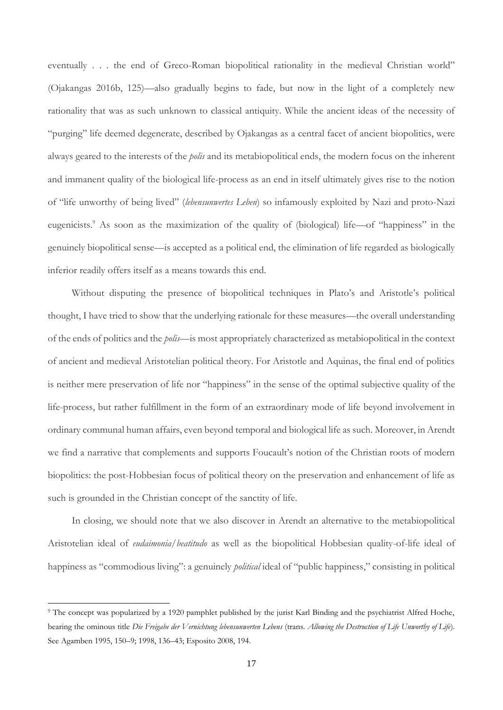eventually . . . the end of Greco-Roman biopolitical rationality in the medieval Christian world" (Ojakangas 2016b, 125)—also gradually begins to fade, but now in the light of a completely new rationality that was as such unknown to classical antiquity. While the ancient ideas of the necessity of "purging" life deemed degenerate, described by Ojakangas as a central facet of ancient biopolitics, were always geared to the interests of the *polis* and its metabiopolitical ends, the modern focus on the inherent and immanent quality of the biological life-process as an end in itself ultimately gives rise to the notion of "life unworthy of being lived" (*lebensunwertes Leben*) so infamously exploited by Nazi and proto-Nazi eugenicists.<sup>9</sup> As soon as the maximization of the quality of (biological) life—of "happiness" in the genuinely biopolitical sense—is accepted as a political end, the elimination of life regarded as biologically inferior readily offers itself as a means towards this end.

Without disputing the presence of biopolitical techniques in Plato's and Aristotle's political thought, I have tried to show that the underlying rationale for these measures—the overall understanding of the ends of politics and the *polis*—is most appropriately characterized as metabiopolitical in the context of ancient and medieval Aristotelian political theory. For Aristotle and Aquinas, the final end of politics is neither mere preservation of life nor "happiness" in the sense of the optimal subjective quality of the life-process, but rather fulfillment in the form of an extraordinary mode of life beyond involvement in ordinary communal human affairs, even beyond temporal and biological life as such. Moreover, in Arendt we find a narrative that complements and supports Foucault's notion of the Christian roots of modern biopolitics: the post-Hobbesian focus of political theory on the preservation and enhancement of life as such is grounded in the Christian concept of the sanctity of life.

In closing, we should note that we also discover in Arendt an alternative to the metabiopolitical Aristotelian ideal of *eudaimonia/beatitudo* as well as the biopolitical Hobbesian quality-of-life ideal of happiness as "commodious living": a genuinely *political* ideal of "public happiness," consisting in political

<sup>9</sup> The concept was popularized by a 1920 pamphlet published by the jurist Karl Binding and the psychiatrist Alfred Hoche, bearing the ominous title *Die Freigabe der Vernichtung lebensunwerten Lebens* (trans. *Allowing the Destruction of Life Unworthy of Life*). See Agamben 1995, 150–9; 1998, 136–43; Esposito 2008, 194.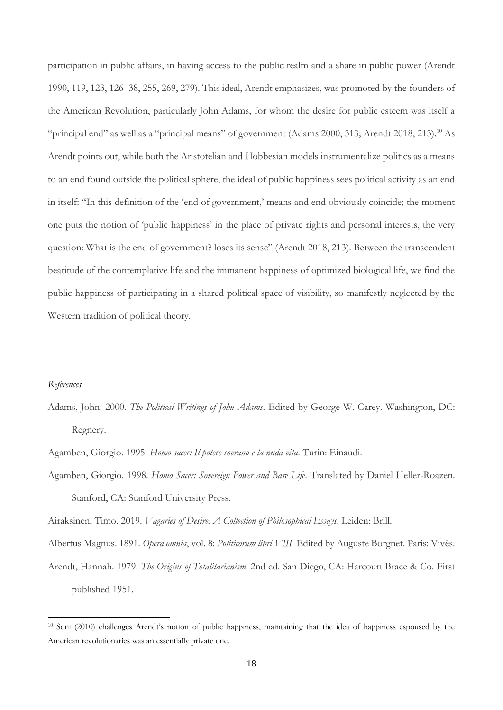participation in public affairs, in having access to the public realm and a share in public power (Arendt 1990, 119, 123, 126–38, 255, 269, 279). This ideal, Arendt emphasizes, was promoted by the founders of the American Revolution, particularly John Adams, for whom the desire for public esteem was itself a "principal end" as well as a "principal means" of government (Adams 2000, 313; Arendt 2018, 213).<sup>10</sup> As Arendt points out, while both the Aristotelian and Hobbesian models instrumentalize politics as a means to an end found outside the political sphere, the ideal of public happiness sees political activity as an end in itself: "In this definition of the 'end of government,' means and end obviously coincide; the moment one puts the notion of 'public happiness' in the place of private rights and personal interests, the very question: What is the end of government? loses its sense" (Arendt 2018, 213). Between the transcendent beatitude of the contemplative life and the immanent happiness of optimized biological life, we find the public happiness of participating in a shared political space of visibility, so manifestly neglected by the Western tradition of political theory.

# *References*

- Adams, John. 2000. *The Political Writings of John Adams*. Edited by George W. Carey. Washington, DC: Regnery.
- Agamben, Giorgio. 1995. *Homo sacer: Il potere sovrano e la nuda vita*. Turin: Einaudi.
- Agamben, Giorgio. 1998. *Homo Sacer: Sovereign Power and Bare Life*. Translated by Daniel Heller-Roazen. Stanford, CA: Stanford University Press.

Airaksinen, Timo. 2019. *Vagaries of Desire: A Collection of Philosophical Essays*. Leiden: Brill.

Albertus Magnus. 1891. *Opera omnia*, vol. 8: *Politicorum libri VIII*. Edited by Auguste Borgnet. Paris: Vivès.

Arendt, Hannah. 1979. *The Origins of Totalitarianism*. 2nd ed. San Diego, CA: Harcourt Brace & Co. First published 1951.

<sup>10</sup> Soni (2010) challenges Arendt's notion of public happiness, maintaining that the idea of happiness espoused by the American revolutionaries was an essentially private one.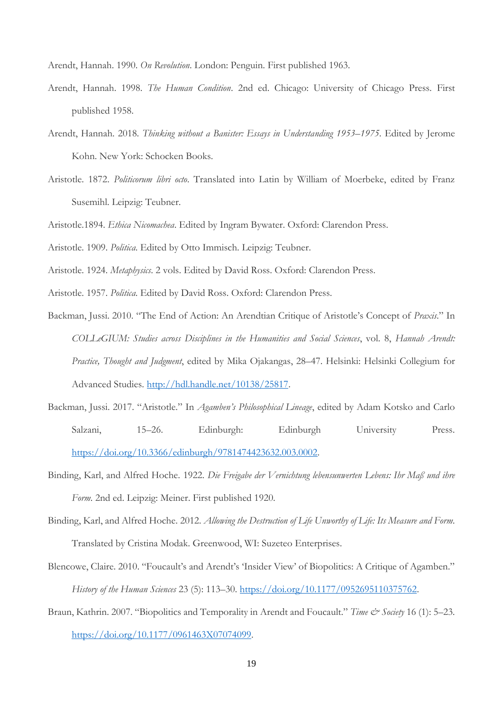Arendt, Hannah. 1990. *On Revolution*. London: Penguin. First published 1963.

- Arendt, Hannah. 1998. *The Human Condition*. 2nd ed. Chicago: University of Chicago Press. First published 1958.
- Arendt, Hannah. 2018. *Thinking without a Banister: Essays in Understanding 1953–1975*. Edited by Jerome Kohn. New York: Schocken Books.
- Aristotle. 1872. *Politicorum libri octo*. Translated into Latin by William of Moerbeke, edited by Franz Susemihl. Leipzig: Teubner.
- Aristotle.1894. *Ethica Nicomachea*. Edited by Ingram Bywater. Oxford: Clarendon Press.
- Aristotle. 1909. *Politica*. Edited by Otto Immisch. Leipzig: Teubner.
- Aristotle. 1924. *Metaphysics*. 2 vols. Edited by David Ross. Oxford: Clarendon Press.
- Aristotle. 1957. *Politica*. Edited by David Ross. Oxford: Clarendon Press.
- Backman, Jussi. 2010. "The End of Action: An Arendtian Critique of Aristotle's Concept of *Praxis*." In *COLLeGIUM: Studies across Disciplines in the Humanities and Social Sciences*, vol. 8, *Hannah Arendt: Practice, Thought and Judgment*, edited by Mika Ojakangas, 28–47. Helsinki: Helsinki Collegium for Advanced Studies. [http://hdl.handle.net/10138/25817.](http://hdl.handle.net/10138/25817)
- Backman, Jussi. 2017. "Aristotle." In *Agamben's Philosophical Lineage*, edited by Adam Kotsko and Carlo Salzani, 15–26. Edinburgh: Edinburgh University Press. [https://doi.org/10.3366/edinburgh/9781474423632.003.0002.](https://doi.org/10.3366/edinburgh/9781474423632.003.0002)
- Binding, Karl, and Alfred Hoche. 1922. *Die Freigabe der Vernichtung lebensunwerten Lebens: Ihr Maß und ihre Form*. 2nd ed. Leipzig: Meiner. First published 1920.
- Binding, Karl, and Alfred Hoche. 2012. *Allowing the Destruction of Life Unworthy of Life: Its Measure and Form*. Translated by Cristina Modak. Greenwood, WI: Suzeteo Enterprises.
- Blencowe, Claire. 2010. "Foucault's and Arendt's 'Insider View' of Biopolitics: A Critique of Agamben." *History of the Human Sciences* 23 (5): 113–30. [https://doi.org/10.1177/0952695110375762.](https://doi.org/10.1177/0952695110375762)
- Braun, Kathrin. 2007. "Biopolitics and Temporality in Arendt and Foucault." *Time & Society* 16 (1): 5-23. [https://doi.org/10.1177/0961463X07074099.](https://doi.org/10.1177/0961463X07074099)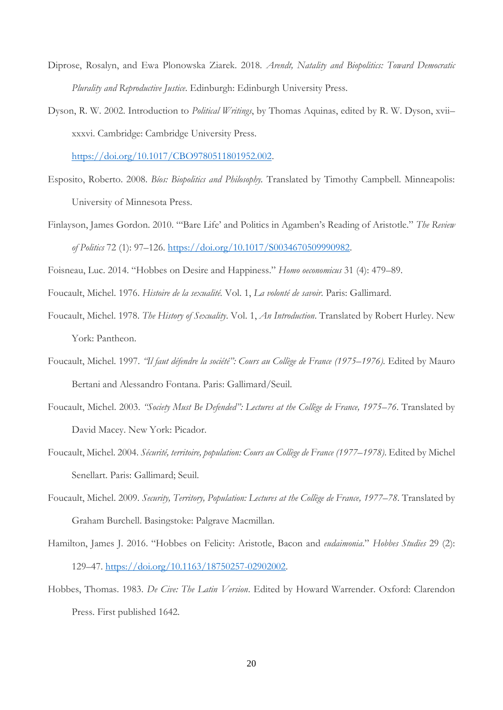- Diprose, Rosalyn, and Ewa Plonowska Ziarek. 2018. *Arendt, Natality and Biopolitics: Toward Democratic Plurality and Reproductive Justice*. Edinburgh: Edinburgh University Press.
- Dyson, R. W. 2002. Introduction to *Political Writings*, by Thomas Aquinas, edited by R. W. Dyson, xvii– xxxvi. Cambridge: Cambridge University Press.

[https://doi.org/10.1017/CBO9780511801952.002.](https://doi.org/10.1017/CBO9780511801952.002)

- Esposito, Roberto. 2008. *Bíos: Biopolitics and Philosophy.* Translated by Timothy Campbell. Minneapolis: University of Minnesota Press.
- Finlayson, James Gordon. 2010. "'Bare Life' and Politics in Agamben's Reading of Aristotle." *The Review of Politics* 72 (1): 97–126. [https://doi.org/10.1017/S0034670509990982.](https://doi.org/10.1017/S0034670509990982)

Foisneau, Luc. 2014. "Hobbes on Desire and Happiness." *Homo oeconomicus* 31 (4): 479–89.

- Foucault, Michel. 1976. *Histoire de la sexualité.* Vol. 1, *La volonté de savoir*. Paris: Gallimard.
- Foucault, Michel. 1978. *The History of Sexuality*. Vol. 1, *An Introduction*. Translated by Robert Hurley. New York: Pantheon.
- Foucault, Michel. 1997. *"Il faut défendre la société": Cours au Collège de France (1975–1976).* Edited by Mauro Bertani and Alessandro Fontana. Paris: Gallimard/Seuil.
- Foucault, Michel. 2003. *"Society Must Be Defended": Lectures at the Collège de France, 1975–76*. Translated by David Macey. New York: Picador.
- Foucault, Michel. 2004. *Sécurité, territoire, population: Cours au Collège de France (1977–1978)*. Edited by Michel Senellart. Paris: Gallimard; Seuil.
- Foucault, Michel. 2009. *Security, Territory, Population: Lectures at the Collège de France, 1977–78*. Translated by Graham Burchell. Basingstoke: Palgrave Macmillan.
- Hamilton, James J. 2016. "Hobbes on Felicity: Aristotle, Bacon and *eudaimonia*." *Hobbes Studies* 29 (2): 129–47. [https://doi.org/10.1163/18750257-02902002.](https://doi.org/10.1163/18750257-02902002)
- Hobbes, Thomas. 1983. *De Cive: The Latin Version*. Edited by Howard Warrender. Oxford: Clarendon Press. First published 1642.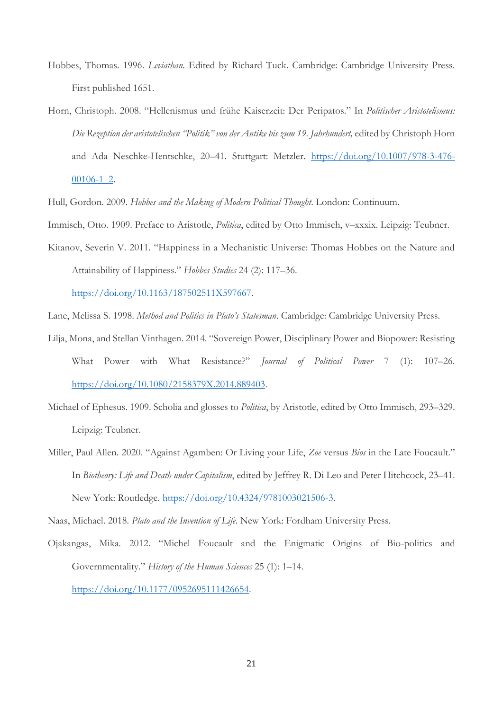- Hobbes, Thomas. 1996. *Leviathan*. Edited by Richard Tuck. Cambridge: Cambridge University Press. First published 1651.
- Horn, Christoph. 2008. "Hellenismus und frühe Kaiserzeit: Der Peripatos." In *Politischer Aristotelismus: Die Rezeption der aristotelischen "Politik" von der Antike bis zum 19. Jahrhundert,* edited by Christoph Horn and Ada Neschke-Hentschke, 20–41. Stuttgart: Metzler. [https://doi.org/10.1007/978-3-476-](https://doi.org/10.1007/978-3-476-00106-1_2) [00106-1\\_2.](https://doi.org/10.1007/978-3-476-00106-1_2)

Hull, Gordon. 2009. *Hobbes and the Making of Modern Political Thought*. London: Continuum.

Immisch, Otto. 1909. Preface to Aristotle, *Politica*, edited by Otto Immisch, v–xxxix. Leipzig: Teubner.

Kitanov, Severin V. 2011. "Happiness in a Mechanistic Universe: Thomas Hobbes on the Nature and Attainability of Happiness." *Hobbes Studies* 24 (2): 117–36.

[https://doi.org/10.1163/187502511X597667.](https://doi.org/10.1163/187502511X597667)

Lane, Melissa S. 1998. *Method and Politics in Plato's Statesman*. Cambridge: Cambridge University Press.

- Lilja, Mona, and Stellan Vinthagen. 2014. "Sovereign Power, Disciplinary Power and Biopower: Resisting What Power with What Resistance?" *Journal of Political Power* 7 (1): 107–26. [https://doi.org/10.1080/2158379X.2014.889403.](https://doi.org/10.1080/2158379X.2014.889403)
- Michael of Ephesus. 1909. Scholia and glosses to *Politica*, by Aristotle, edited by Otto Immisch, 293–329. Leipzig: Teubner.
- Miller, Paul Allen. 2020. "Against Agamben: Or Living your Life, *Zōē* versus *Bios* in the Late Foucault." In *Biotheory: Life and Death under Capitalism*, edited by Jeffrey R. Di Leo and Peter Hitchcock, 23–41. New York: Routledge. [https://doi.org/10.4324/9781003021506-3.](https://doi.org/10.4324/9781003021506-3)

Naas, Michael. 2018. *Plato and the Invention of Life*. New York: Fordham University Press.

Ojakangas, Mika. 2012. "Michel Foucault and the Enigmatic Origins of Bio-politics and Governmentality." *History of the Human Sciences* 25 (1): 1–14.

[https://doi.org/10.1177/0952695111426654.](https://doi.org/10.1177/0952695111426654)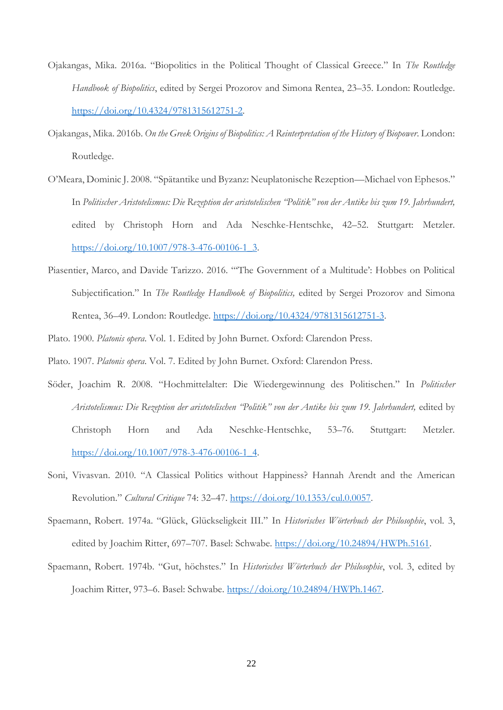- Ojakangas, Mika. 2016a. "Biopolitics in the Political Thought of Classical Greece." In *The Routledge Handbook of Biopolitics*, edited by Sergei Prozorov and Simona Rentea, 23–35. London: Routledge. [https://doi.org/10.4324/9781315612751-2.](https://doi.org/10.4324/9781315612751-2)
- Ojakangas, Mika. 2016b. *On the Greek Origins of Biopolitics: A Reinterpretation of the History of Biopower*. London: Routledge.
- O'Meara, Dominic J. 2008. "Spätantike und Byzanz: Neuplatonische Rezeption—Michael von Ephesos." In *Politischer Aristotelismus: Die Rezeption der aristotelischen "Politik" von der Antike bis zum 19. Jahrhundert,*  edited by Christoph Horn and Ada Neschke-Hentschke, 42–52. Stuttgart: Metzler. [https://doi.org/10.1007/978-3-476-00106-1\\_3.](https://doi.org/10.1007/978-3-476-00106-1_3)
- Piasentier, Marco, and Davide Tarizzo. 2016. "'The Government of a Multitude': Hobbes on Political Subjectification." In *The Routledge Handbook of Biopolitics,* edited by Sergei Prozorov and Simona Rentea, 36–49. London: Routledge. [https://doi.org/10.4324/9781315612751-3.](https://doi.org/10.4324/9781315612751-3)
- Plato. 1900. *Platonis opera*. Vol. 1. Edited by John Burnet. Oxford: Clarendon Press.
- Plato. 1907. *Platonis opera*. Vol. 7. Edited by John Burnet. Oxford: Clarendon Press.
- Söder, Joachim R. 2008. "Hochmittelalter: Die Wiedergewinnung des Politischen." In *Politischer Aristotelismus: Die Rezeption der aristotelischen "Politik" von der Antike bis zum 19. Jahrhundert,* edited by Christoph Horn and Ada Neschke-Hentschke, 53–76. Stuttgart: Metzler. [https://doi.org/10.1007/978-3-476-00106-1\\_4.](https://doi.org/10.1007/978-3-476-00106-1_4)
- Soni, Vivasvan. 2010. "A Classical Politics without Happiness? Hannah Arendt and the American Revolution." *Cultural Critique* 74: 32–47. [https://doi.org/10.1353/cul.0.0057.](https://doi.org/10.1353/cul.0.0057)
- Spaemann, Robert. 1974a. "Glück, Glückseligkeit III." In *Historisches Wörterbuch der Philosophie*, vol. 3, edited by Joachim Ritter, 697-707. Basel: Schwabe. [https://doi.org/10.24894/HWPh.5161.](https://doi.org/10.24894/HWPh.5161)
- Spaemann, Robert. 1974b. "Gut, höchstes." In *Historisches Wörterbuch der Philosophie*, vol. 3, edited by Joachim Ritter, 973–6. Basel: Schwabe. [https://doi.org/10.24894/HWPh.1467.](https://doi.org/10.24894/HWPh.1467)